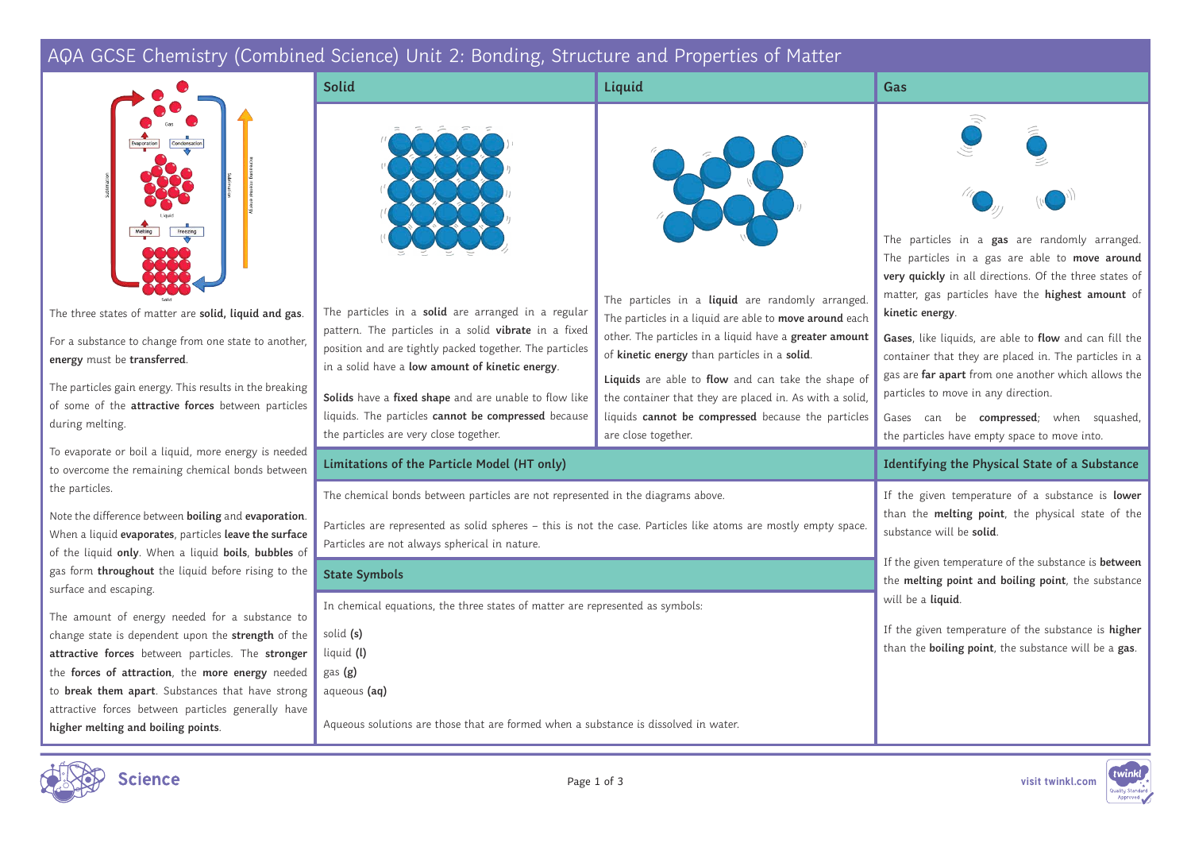# AQA GCSE Chemistry (Combined Science) Unit 2: Bonding, Structure and Properties of Matter

| The particles in a gas are randomly arranged.<br>The particles in a gas are able to move around<br>very quickly in all directions. Of the three states of<br>matter, gas particles have the highest amount of<br>The particles in a liquid are randomly arranged.<br>The particles in a solid are arranged in a regular<br>kinetic energy.<br>The particles in a liquid are able to move around each<br>pattern. The particles in a solid vibrate in a fixed<br>other. The particles in a liquid have a greater amount<br>Gases, like liquids, are able to flow and can fill the<br>position and are tightly packed together. The particles<br>of kinetic energy than particles in a solid.<br>container that they are placed in. The particles in a<br>in a solid have a low amount of kinetic energy.<br>gas are far apart from one another which allows the<br>Liquids are able to flow and can take the shape of<br>particles to move in any direction.<br>Solids have a fixed shape and are unable to flow like<br>the container that they are placed in. As with a solid,<br>liquids. The particles cannot be compressed because<br>liquids cannot be compressed because the particles<br>Gases can be compressed; when squashed,<br>the particles are very close together.<br>are close together.<br>the particles have empty space to move into.<br>Limitations of the Particle Model (HT only)<br>Identifying the Physical State of a Substance<br>The chemical bonds between particles are not represented in the diagrams above.<br>If the given temperature of a substance is lower<br>than the melting point, the physical state of the<br>Particles are represented as solid spheres - this is not the case. Particles like atoms are mostly empty space.<br>substance will be solid.<br>Particles are not always spherical in nature.<br>If the given temperature of the substance is between<br><b>State Symbols</b><br>the melting point and boiling point, the substance<br>will be a liquid.<br>In chemical equations, the three states of matter are represented as symbols:<br>If the given temperature of the substance is higher<br>solid (s)<br>than the boiling point, the substance will be a gas.<br>liquid (l)<br>gas (g)<br>to break them apart. Substances that have strong<br>aqueous (aq)<br>attractive forces between particles generally have<br>Aqueous solutions are those that are formed when a substance is dissolved in water.<br>higher melting and boiling points. |                                                                                                                                                                                                               | <b>Solid</b> | Liquid | Gas |
|--------------------------------------------------------------------------------------------------------------------------------------------------------------------------------------------------------------------------------------------------------------------------------------------------------------------------------------------------------------------------------------------------------------------------------------------------------------------------------------------------------------------------------------------------------------------------------------------------------------------------------------------------------------------------------------------------------------------------------------------------------------------------------------------------------------------------------------------------------------------------------------------------------------------------------------------------------------------------------------------------------------------------------------------------------------------------------------------------------------------------------------------------------------------------------------------------------------------------------------------------------------------------------------------------------------------------------------------------------------------------------------------------------------------------------------------------------------------------------------------------------------------------------------------------------------------------------------------------------------------------------------------------------------------------------------------------------------------------------------------------------------------------------------------------------------------------------------------------------------------------------------------------------------------------------------------------------------------------------------------------------------------------------------------------------------------------------------------------------------------------------------------------------------------------------------------------------------------------------------------------------------------------------------------------------------------------------------------------------------------------------------------------------------------------------------------------------------------------------------------------------------|---------------------------------------------------------------------------------------------------------------------------------------------------------------------------------------------------------------|--------------|--------|-----|
|                                                                                                                                                                                                                                                                                                                                                                                                                                                                                                                                                                                                                                                                                                                                                                                                                                                                                                                                                                                                                                                                                                                                                                                                                                                                                                                                                                                                                                                                                                                                                                                                                                                                                                                                                                                                                                                                                                                                                                                                                                                                                                                                                                                                                                                                                                                                                                                                                                                                                                              |                                                                                                                                                                                                               |              |        |     |
|                                                                                                                                                                                                                                                                                                                                                                                                                                                                                                                                                                                                                                                                                                                                                                                                                                                                                                                                                                                                                                                                                                                                                                                                                                                                                                                                                                                                                                                                                                                                                                                                                                                                                                                                                                                                                                                                                                                                                                                                                                                                                                                                                                                                                                                                                                                                                                                                                                                                                                              | The three states of matter are solid, liquid and gas.<br>For a substance to change from one state to another,<br>energy must be transferred.                                                                  |              |        |     |
|                                                                                                                                                                                                                                                                                                                                                                                                                                                                                                                                                                                                                                                                                                                                                                                                                                                                                                                                                                                                                                                                                                                                                                                                                                                                                                                                                                                                                                                                                                                                                                                                                                                                                                                                                                                                                                                                                                                                                                                                                                                                                                                                                                                                                                                                                                                                                                                                                                                                                                              | The particles gain energy. This results in the breaking<br>of some of the attractive forces between particles<br>during melting.                                                                              |              |        |     |
|                                                                                                                                                                                                                                                                                                                                                                                                                                                                                                                                                                                                                                                                                                                                                                                                                                                                                                                                                                                                                                                                                                                                                                                                                                                                                                                                                                                                                                                                                                                                                                                                                                                                                                                                                                                                                                                                                                                                                                                                                                                                                                                                                                                                                                                                                                                                                                                                                                                                                                              |                                                                                                                                                                                                               |              |        |     |
|                                                                                                                                                                                                                                                                                                                                                                                                                                                                                                                                                                                                                                                                                                                                                                                                                                                                                                                                                                                                                                                                                                                                                                                                                                                                                                                                                                                                                                                                                                                                                                                                                                                                                                                                                                                                                                                                                                                                                                                                                                                                                                                                                                                                                                                                                                                                                                                                                                                                                                              | To evaporate or boil a liquid, more energy is needed<br>to overcome the remaining chemical bonds between                                                                                                      |              |        |     |
|                                                                                                                                                                                                                                                                                                                                                                                                                                                                                                                                                                                                                                                                                                                                                                                                                                                                                                                                                                                                                                                                                                                                                                                                                                                                                                                                                                                                                                                                                                                                                                                                                                                                                                                                                                                                                                                                                                                                                                                                                                                                                                                                                                                                                                                                                                                                                                                                                                                                                                              | the particles.<br>Note the difference between boiling and evaporation.<br>When a liquid evaporates, particles leave the surface                                                                               |              |        |     |
|                                                                                                                                                                                                                                                                                                                                                                                                                                                                                                                                                                                                                                                                                                                                                                                                                                                                                                                                                                                                                                                                                                                                                                                                                                                                                                                                                                                                                                                                                                                                                                                                                                                                                                                                                                                                                                                                                                                                                                                                                                                                                                                                                                                                                                                                                                                                                                                                                                                                                                              | of the liquid only. When a liquid boils, bubbles of<br>gas form throughout the liquid before rising to the<br>surface and escaping.                                                                           |              |        |     |
|                                                                                                                                                                                                                                                                                                                                                                                                                                                                                                                                                                                                                                                                                                                                                                                                                                                                                                                                                                                                                                                                                                                                                                                                                                                                                                                                                                                                                                                                                                                                                                                                                                                                                                                                                                                                                                                                                                                                                                                                                                                                                                                                                                                                                                                                                                                                                                                                                                                                                                              | The amount of energy needed for a substance to<br>change state is dependent upon the strength of the<br>attractive forces between particles. The stronger<br>the forces of attraction, the more energy needed |              |        |     |

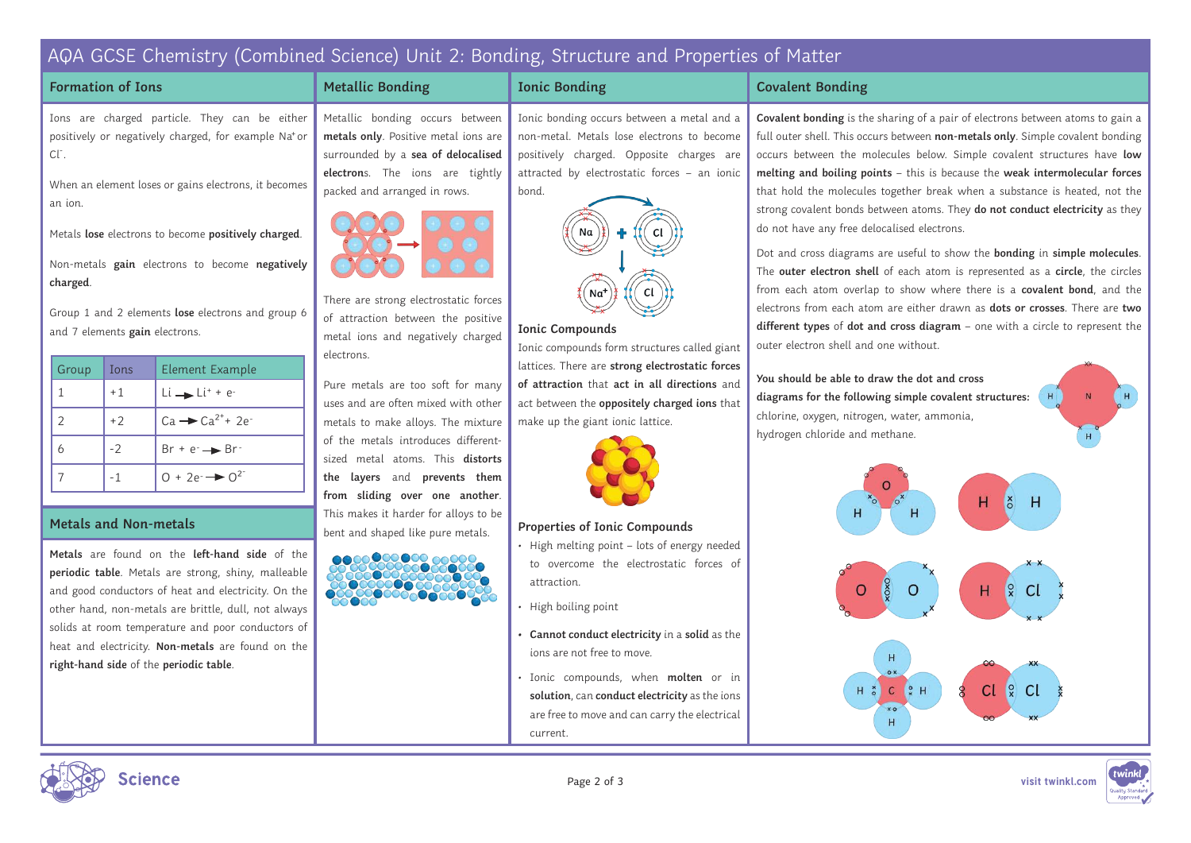## AQA GCSE Chemistry (Combined Science) Unit 2: Bonding, Structure and Properties of Matter

**Ionic Bonding**

**Ionic Compounds**

make up the giant ionic lattice.

Na

**Properties of Ionic Compounds**

attraction.

• High boiling point

#### **Formation of Ions**

Ions are charged particle. They can be either positively or negatively charged, for example Na<sup>+</sup>or  $Cl^-.$ 

When an element loses or gains electrons, it becomes an ion.

Metals **lose** electrons to become **positively charged**.

Non-metals **gain** electrons to become **negatively charged**.

Group 1 and 2 elements **lose** electrons and group 6 and 7 elements **gain** electrons.

| Group         | Ions | Element Example                  |
|---------------|------|----------------------------------|
|               | $+1$ | $Li \rightarrow Li^{+} + e^{-}$  |
| $\mathcal{P}$ | $+2$ | $Ca \rightarrow Ca^{2^+} + 2e^-$ |
| 6             | $-2$ | $Br + e^- \rightarrow Br^-$      |
|               |      | $0 + 2e^{-}$ $\rightarrow 0^2$   |

**Metals** are found on the **left-hand side** of the **periodic table**. Metals are strong, shiny, malleable and good conductors of heat and electricity. On the other hand, non-metals are brittle, dull, not always solids at room temperature and poor conductors of heat and electricity. **Non-metals** are found on the **right-hand side** of the **periodic table**.

Metallic bonding occurs between **metals only**. Positive metal ions are surrounded by a **sea of delocalised electron**s. The ions are tightly packed and arranged in rows. Ionic bonding occurs between a metal and a non-metal. Metals lose electrons to become positively charged. Opposite charges are attracted by electrostatic forces – an ionic bond.

**Metallic Bonding**



of attraction between the positive metal ions and negatively charged electrons.

Pure metals are too soft for many uses and are often mixed with other metals to make alloys. The mixture of the metals introduces differentsized metal atoms. This **distorts the layers** and **prevents them from sliding over one another**. This makes it harder for alloys to be **bent and shaped like pure metals.** Metals and **Non-metals** 











**• Cannot conduct electricity** in a **solid** as the ions are not free to move.

• High melting point – lots of energy needed to overcome the electrostatic forces of

Ionic compounds form structures called giant lattices. There are **strong electrostatic forces of attraction** that **act in all directions** and act between the **oppositely charged ions** that

• Ionic compounds, when **molten** or in **solution**, can **conduct electricity** as the ions are free to move and can carry the electrical current.

#### **Covalent Bonding**

**Covalent bonding** is the sharing of a pair of electrons between atoms to gain a full outer shell. This occurs between **non-metals only**. Simple covalent bonding occurs between the molecules below. Simple covalent structures have **low melting and boiling points** – this is because the **weak intermolecular forces** that hold the molecules together break when a substance is heated, not the strong covalent bonds between atoms. They **do not conduct electricity** as they do not have any free delocalised electrons.

Dot and cross diagrams are useful to show the **bonding** in **simple molecules**. The **outer electron shell** of each atom is represented as a **circle**, the circles from each atom overlap to show where there is a **covalent bond**, and the electrons from each atom are either drawn as **dots or crosses**. There are **two different types** of **dot and cross diagram** – one with a circle to represent the outer electron shell and one without.

**You should be able to draw the dot and cross diagrams for the following simple covalent structures:** chlorine, oxygen, nitrogen, water, ammonia, hydrogen chloride and methane.







Page 2 of 3 **visit twinkl.com**